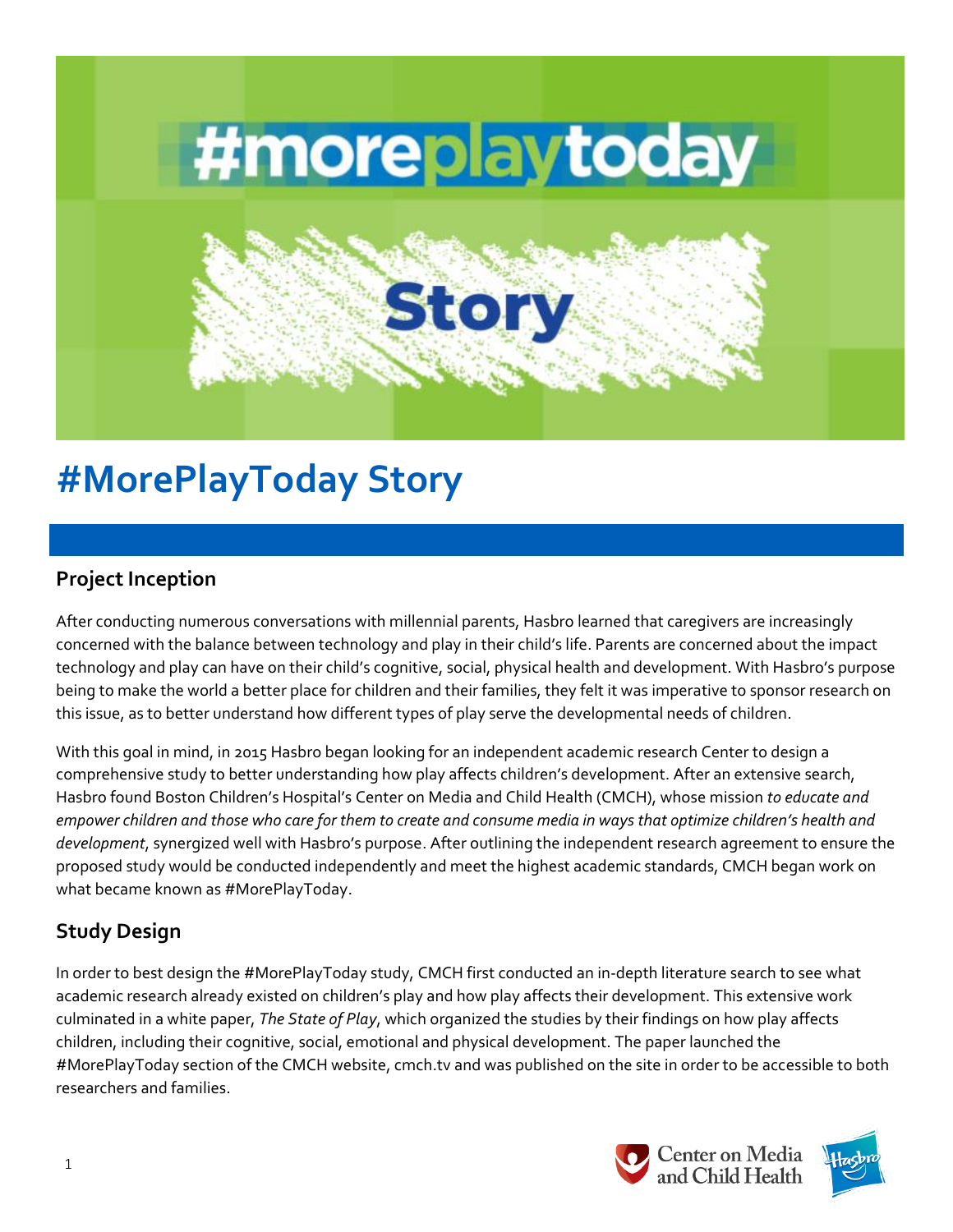

# **#MorePlayToday Story**

## **Project Inception**

After conducting numerous conversations with millennial parents, Hasbro learned that caregivers are increasingly concerned with the balance between technology and play in their child's life. Parents are concerned about the impact technology and play can have on their child's cognitive, social, physical health and development. With Hasbro's purpose being to make the world a better place for children and their families, they felt it was imperative to sponsor research on this issue, as to better understand how different types of play serve the developmental needs of children.

With this goal in mind, in 2015 Hasbro began looking for an independent academic research Center to design a comprehensive study to better understanding how play affects children's development. After an extensive search, Hasbro found Boston Children's Hospital's Center on Media and Child Health (CMCH), whose mission *to educate and empower children and those who care for them to create and consume media in ways that optimize children's health and development*, synergized well with Hasbro's purpose. After outlining the independent research agreement to ensure the proposed study would be conducted independently and meet the highest academic standards, CMCH began work on what became known as #MorePlayToday.

## **Study Design**

In order to best design the #MorePlayToday study, CMCH first conducted an in-depth literature search to see what academic research already existed on children's play and how play affects their development. This extensive work culminated in a white paper, *The State of Play*, which organized the studies by their findings on how play affects children, including their cognitive, social, emotional and physical development. The paper launched the #MorePlayToday section of the CMCH website, cmch.tv and was published on the site in order to be accessible to both researchers and families.



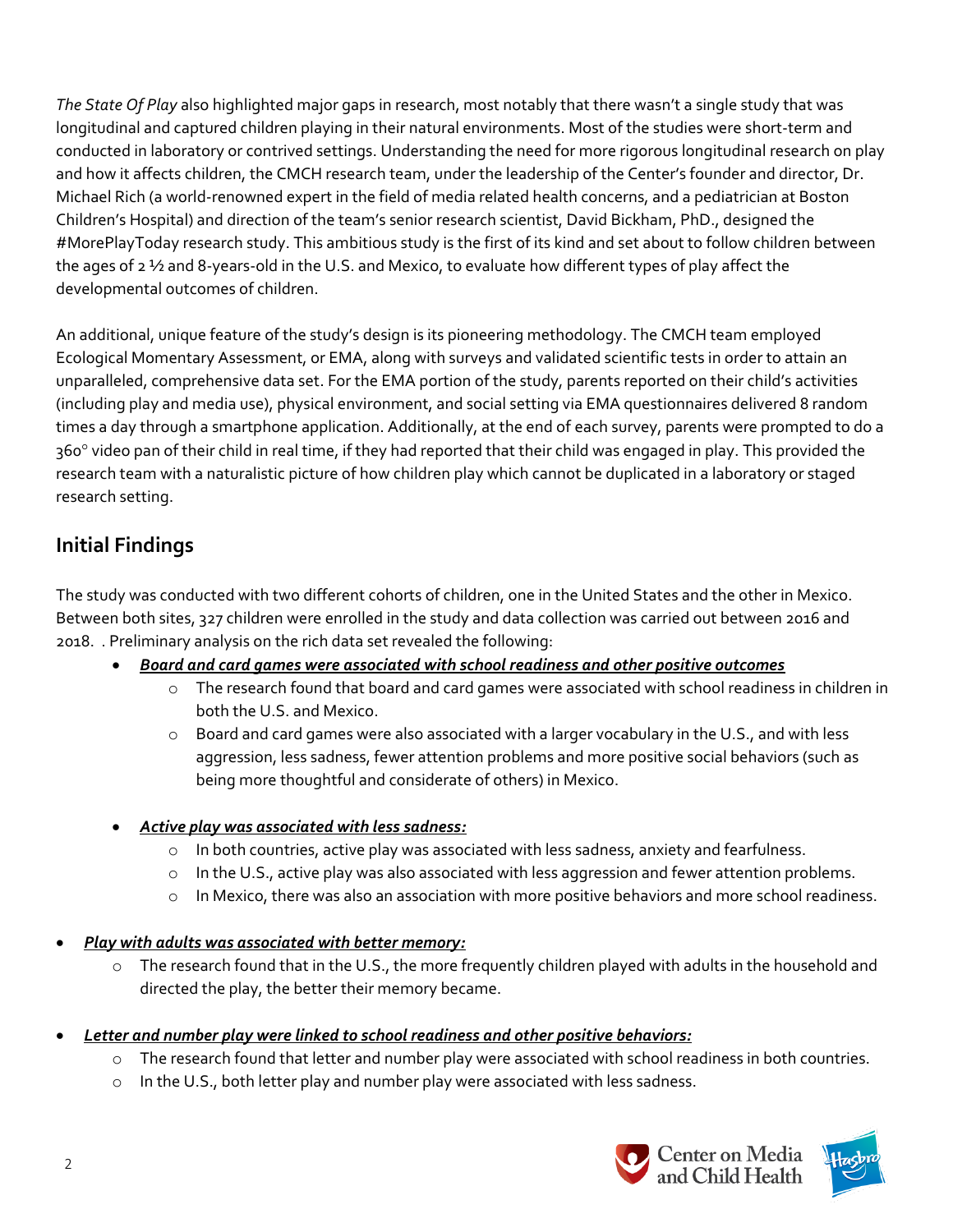*The State Of Play* also highlighted major gaps in research, most notably that there wasn't a single study that was longitudinal and captured children playing in their natural environments. Most of the studies were short-term and conducted in laboratory or contrived settings. Understanding the need for more rigorous longitudinal research on play and how it affects children, the CMCH research team, under the leadership of the Center's founder and director, Dr. Michael Rich (a world-renowned expert in the field of media related health concerns, and a pediatrician at Boston Children's Hospital) and direction of the team's senior research scientist, David Bickham, PhD., designed the #MorePlayToday research study. This ambitious study is the first of its kind and set about to follow children between the ages of 2 ½ and 8-years-old in the U.S. and Mexico, to evaluate how different types of play affect the developmental outcomes of children.

An additional, unique feature of the study's design is its pioneering methodology. The CMCH team employed Ecological Momentary Assessment, or EMA, along with surveys and validated scientific tests in order to attain an unparalleled, comprehensive data set. For the EMA portion of the study, parents reported on their child's activities (including play and media use), physical environment, and social setting via EMA questionnaires delivered 8 random times a day through a smartphone application. Additionally, at the end of each survey, parents were prompted to do a 360° video pan of their child in real time, if they had reported that their child was engaged in play. This provided the research team with a naturalistic picture of how children play which cannot be duplicated in a laboratory or staged research setting.

#### **Initial Findings**

The study was conducted with two different cohorts of children, one in the United States and the other in Mexico. Between both sites, 327 children were enrolled in the study and data collection was carried out between 2016 and 2018. . Preliminary analysis on the rich data set revealed the following:

- *Board and card games were associated with school readiness and other positive outcomes* 
	- o The research found that board and card games were associated with school readiness in children in both the U.S. and Mexico.
	- $\circ$  Board and card games were also associated with a larger vocabulary in the U.S., and with less aggression, less sadness, fewer attention problems and more positive social behaviors (such as being more thoughtful and considerate of others) in Mexico.
- *Active play was associated with less sadness:*
	- $\circ$  In both countries, active play was associated with less sadness, anxiety and fearfulness.
	- o In the U.S., active play was also associated with less aggression and fewer attention problems.
	- o In Mexico, there was also an association with more positive behaviors and more school readiness.
- *Play with adults was associated with better memory:* 
	- $\circ$  The research found that in the U.S., the more frequently children played with adults in the household and directed the play, the better their memory became.
- *Letter and number play were linked to school readiness and other positive behaviors:*
	- o The research found that letter and number play were associated with school readiness in both countries.
	- o In the U.S., both letter play and number play were associated with less sadness.